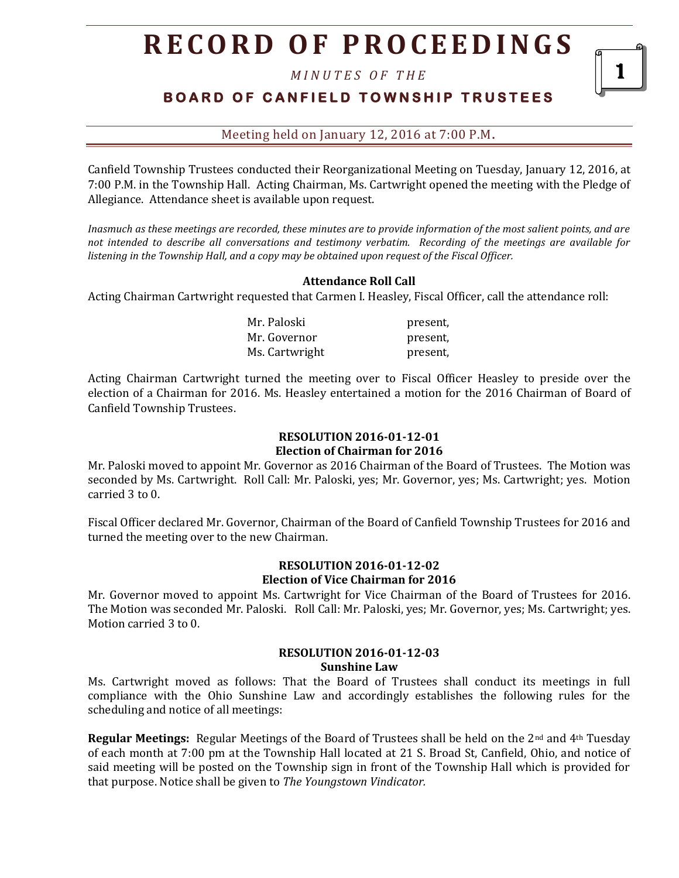*M I N U T E S O F T H E* 

**BOARD OF CANFIELD TOWNSHIP TRUSTEES** 

1

Meeting held on January 12, 2016 at 7:00 P.M**.**

Canfield Township Trustees conducted their Reorganizational Meeting on Tuesday, January 12, 2016, at 7:00 P.M. in the Township Hall. Acting Chairman, Ms. Cartwright opened the meeting with the Pledge of Allegiance. Attendance sheet is available upon request.

*Inasmuch as these meetings are recorded, these minutes are to provide information of the most salient points, and are not intended to describe all conversations and testimony verbatim. Recording of the meetings are available for listening in the Township Hall, and a copy may be obtained upon request of the Fiscal Officer.*

## **Attendance Roll Call**

Acting Chairman Cartwright requested that Carmen I. Heasley, Fiscal Officer, call the attendance roll:

Mr. Paloski present, Mr. Governor **present**, Ms. Cartwright present,

Acting Chairman Cartwright turned the meeting over to Fiscal Officer Heasley to preside over the election of a Chairman for 2016. Ms. Heasley entertained a motion for the 2016 Chairman of Board of Canfield Township Trustees.

## **RESOLUTION 2016-01-12-01 Election of Chairman for 2016**

Mr. Paloski moved to appoint Mr. Governor as 2016 Chairman of the Board of Trustees. The Motion was seconded by Ms. Cartwright. Roll Call: Mr. Paloski, yes; Mr. Governor, yes; Ms. Cartwright; yes. Motion carried 3 to 0.

Fiscal Officer declared Mr. Governor, Chairman of the Board of Canfield Township Trustees for 2016 and turned the meeting over to the new Chairman.

### **RESOLUTION 2016-01-12-02 Election of Vice Chairman for 2016**

Mr. Governor moved to appoint Ms. Cartwright for Vice Chairman of the Board of Trustees for 2016. The Motion was seconded Mr. Paloski. Roll Call: Mr. Paloski, yes; Mr. Governor, yes; Ms. Cartwright; yes. Motion carried 3 to 0.

#### **RESOLUTION 2016-01-12-03 Sunshine Law**

Ms. Cartwright moved as follows: That the Board of Trustees shall conduct its meetings in full compliance with the Ohio Sunshine Law and accordingly establishes the following rules for the scheduling and notice of all meetings:

**Regular Meetings:** Regular Meetings of the Board of Trustees shall be held on the 2nd and 4th Tuesday of each month at 7:00 pm at the Township Hall located at 21 S. Broad St, Canfield, Ohio, and notice of said meeting will be posted on the Township sign in front of the Township Hall which is provided for that purpose. Notice shall be given to *The Youngstown Vindicator.*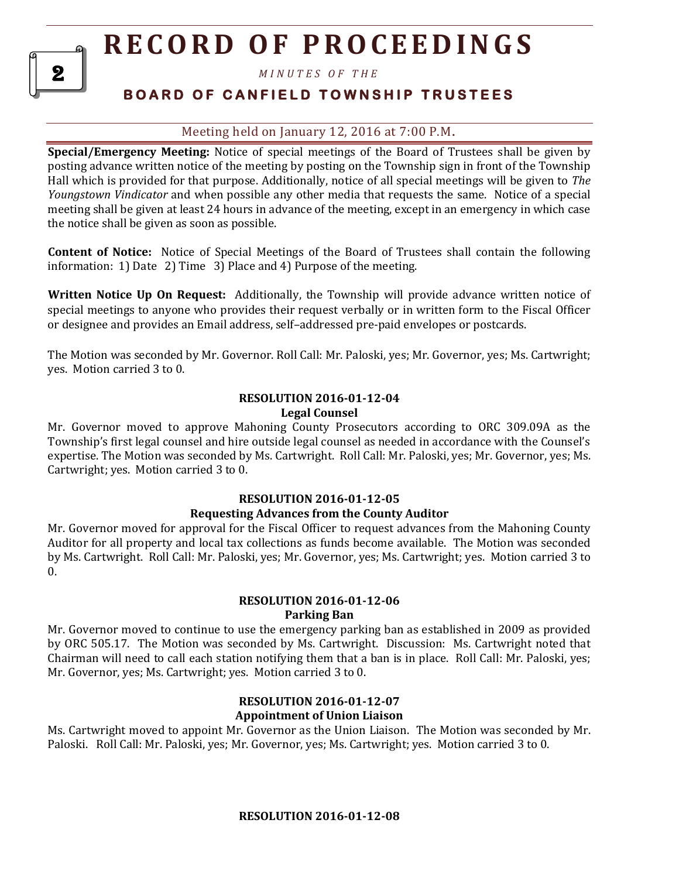*M I N U T E S O F T H E* 

2

# **B O A R D O F C A N F I E L D T O W N S H I P T R U S T E E S**

## Meeting held on January 12, 2016 at 7:00 P.M**.**

**Special/Emergency Meeting:** Notice of special meetings of the Board of Trustees shall be given by posting advance written notice of the meeting by posting on the Township sign in front of the Township Hall which is provided for that purpose. Additionally, notice of all special meetings will be given to *The Youngstown Vindicator* and when possible any other media that requests the same. Notice of a special meeting shall be given at least 24 hours in advance of the meeting, except in an emergency in which case the notice shall be given as soon as possible.

**Content of Notice:** Notice of Special Meetings of the Board of Trustees shall contain the following information: 1) Date 2) Time 3) Place and 4) Purpose of the meeting.

**Written Notice Up On Request:** Additionally, the Township will provide advance written notice of special meetings to anyone who provides their request verbally or in written form to the Fiscal Officer or designee and provides an Email address, self–addressed pre-paid envelopes or postcards.

The Motion was seconded by Mr. Governor. Roll Call: Mr. Paloski, yes; Mr. Governor, yes; Ms. Cartwright; yes. Motion carried 3 to 0.

#### **RESOLUTION 2016-01-12-04 Legal Counsel**

Mr. Governor moved to approve Mahoning County Prosecutors according to ORC 309.09A as the Township's first legal counsel and hire outside legal counsel as needed in accordance with the Counsel's expertise. The Motion was seconded by Ms. Cartwright. Roll Call: Mr. Paloski, yes; Mr. Governor, yes; Ms. Cartwright; yes. Motion carried 3 to 0.

#### **RESOLUTION 2016-01-12-05**

#### **Requesting Advances from the County Auditor**

Mr. Governor moved for approval for the Fiscal Officer to request advances from the Mahoning County Auditor for all property and local tax collections as funds become available. The Motion was seconded by Ms. Cartwright. Roll Call: Mr. Paloski, yes; Mr. Governor, yes; Ms. Cartwright; yes. Motion carried 3 to  $\theta$ .

#### **RESOLUTION 2016-01-12-06 Parking Ban**

Mr. Governor moved to continue to use the emergency parking ban as established in 2009 as provided by ORC 505.17. The Motion was seconded by Ms. Cartwright. Discussion: Ms. Cartwright noted that Chairman will need to call each station notifying them that a ban is in place. Roll Call: Mr. Paloski, yes; Mr. Governor, yes; Ms. Cartwright; yes. Motion carried 3 to 0.

### **RESOLUTION 2016-01-12-07 Appointment of Union Liaison**

Ms. Cartwright moved to appoint Mr. Governor as the Union Liaison. The Motion was seconded by Mr. Paloski. Roll Call: Mr. Paloski, yes; Mr. Governor, yes; Ms. Cartwright; yes. Motion carried 3 to 0.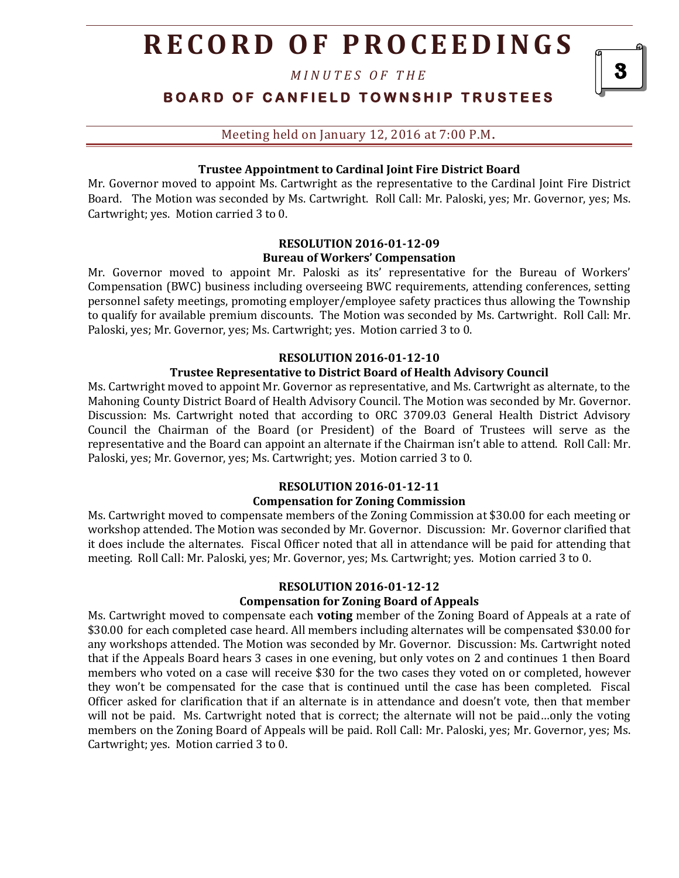*M I N U T E S O F T H E* 

**BOARD OF CANFIELD TOWNSHIP TRUSTEES** 

Meeting held on January 12, 2016 at 7:00 P.M**.**

#### **Trustee Appointment to Cardinal Joint Fire District Board**

Mr. Governor moved to appoint Ms. Cartwright as the representative to the Cardinal Joint Fire District Board. The Motion was seconded by Ms. Cartwright. Roll Call: Mr. Paloski, yes; Mr. Governor, yes; Ms. Cartwright; yes. Motion carried 3 to 0.

#### **RESOLUTION 2016-01-12-09 Bureau of Workers' Compensation**

Mr. Governor moved to appoint Mr. Paloski as its' representative for the Bureau of Workers' Compensation (BWC) business including overseeing BWC requirements, attending conferences, setting personnel safety meetings, promoting employer/employee safety practices thus allowing the Township to qualify for available premium discounts. The Motion was seconded by Ms. Cartwright. Roll Call: Mr. Paloski, yes; Mr. Governor, yes; Ms. Cartwright; yes. Motion carried 3 to 0.

#### **RESOLUTION 2016-01-12-10**

#### **Trustee Representative to District Board of Health Advisory Council**

Ms. Cartwright moved to appoint Mr. Governor as representative, and Ms. Cartwright as alternate, to the Mahoning County District Board of Health Advisory Council. The Motion was seconded by Mr. Governor. Discussion: Ms. Cartwright noted that according to ORC 3709.03 General Health District Advisory Council the Chairman of the Board (or President) of the Board of Trustees will serve as the representative and the Board can appoint an alternate if the Chairman isn't able to attend. Roll Call: Mr. Paloski, yes; Mr. Governor, yes; Ms. Cartwright; yes. Motion carried 3 to 0.

#### **RESOLUTION 2016-01-12-11**

#### **Compensation for Zoning Commission**

Ms. Cartwright moved to compensate members of the Zoning Commission at \$30.00 for each meeting or workshop attended. The Motion was seconded by Mr. Governor. Discussion: Mr. Governor clarified that it does include the alternates. Fiscal Officer noted that all in attendance will be paid for attending that meeting. Roll Call: Mr. Paloski, yes; Mr. Governor, yes; Ms. Cartwright; yes. Motion carried 3 to 0.

#### **RESOLUTION 2016-01-12-12 Compensation for Zoning Board of Appeals**

Ms. Cartwright moved to compensate each **voting** member of the Zoning Board of Appeals at a rate of \$30.00 for each completed case heard. All members including alternates will be compensated \$30.00 for any workshops attended. The Motion was seconded by Mr. Governor. Discussion: Ms. Cartwright noted that if the Appeals Board hears 3 cases in one evening, but only votes on 2 and continues 1 then Board members who voted on a case will receive \$30 for the two cases they voted on or completed, however they won't be compensated for the case that is continued until the case has been completed. Fiscal Officer asked for clarification that if an alternate is in attendance and doesn't vote, then that member will not be paid. Ms. Cartwright noted that is correct; the alternate will not be paid…only the voting members on the Zoning Board of Appeals will be paid. Roll Call: Mr. Paloski, yes; Mr. Governor, yes; Ms. Cartwright; yes. Motion carried 3 to 0.

3